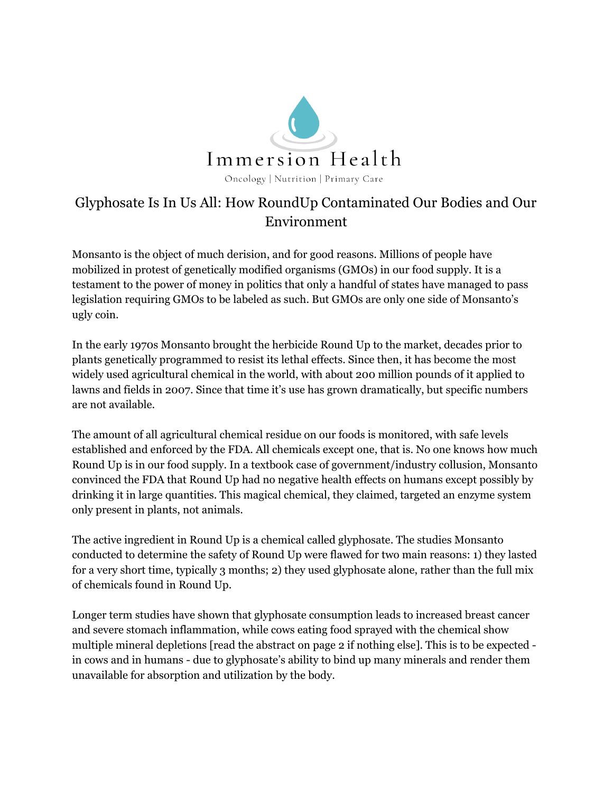

## Glyphosate Is In Us All: How RoundUp Contaminated Our Bodies and Our Environment

Monsanto is the object of much derision, and for good reasons. Millions of people have mobilized in protest of genetically modified organisms (GMOs) in our food supply. It is a testament to the power of money in politics that only a handful of states have managed to pass legislation requiring GMOs to be labeled as such. But GMOs are only one side of Monsanto's ugly coin.

In the early 1970s Monsanto brought the herbicide Round Up to the market, decades prior to plants genetically programmed to resist its lethal effects. Since then, it has become the most widely used agricultural chemical in the world, with about 200 million pounds of it applied to lawns and fields in 2007. Since that time it's use has grown dramatically, but specific numbers are not available.

The amount of all agricultural chemical residue on our foods is monitored, with safe levels established and enforced by the FDA. All chemicals except one, that is. No one knows how much Round Up is in our food supply. In a textbook case of government/industry collusion, Monsanto convinced the FDA that Round Up had no negative health effects on humans except possibly by drinking it in large quantities. This magical chemical, they claimed, targeted an enzyme system only present in plants, not animals.

The active ingredient in Round Up is a chemical called glyphosate. The studies Monsanto conducted to determine the safety of Round Up were flawed for two main reasons: 1) they lasted for a very short time, typically 3 months; 2) they used glyphosate alone, rather than the full mix of chemicals found in Round Up.

Longer term studies have shown that glyphosate consumption leads to increased breast [cancer](http://www.enveurope.com/content/26/1/14) and severe stomach [inflammation](http://www.organic-systems.org/journal/81/abstracts/8106.html), while cows eating food sprayed with the chemical show multiple mineral [depletions](http://tinyurl.com/kkfojyj) [read the abstract on page 2 if nothing else]. This is to be expected in cows and in humans - due to glyphosate's ability to bind up many minerals and render them unavailable for absorption and utilization by the body.